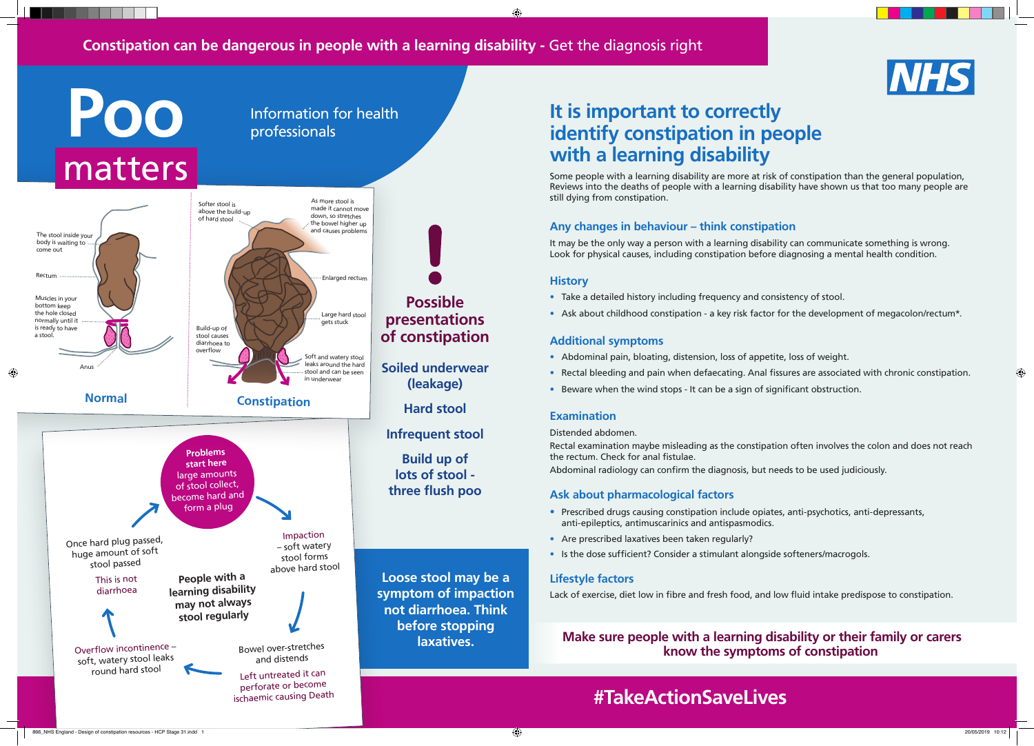## **It is important to correctly identify constipation in people with a learning disability**

Some people with a learning disability are more at risk of constipation than the general population, Reviews into the deaths of people with a learning disability have shown us that too many people are still dying from constipation.

### **Any changes in behaviour – think constipation**

It may be the only way a person with a learning disability can communicate something is wrong. Look for physical causes, including constipation before diagnosing a mental health condition.

#### **History**

♠

- Take a detailed history including frequency and consistency of stool.
- 

• Ask about childhood constipation - a key risk factor for the development of megacolon/rectum\*.

### **Additional symptoms**

• Rectal bleeding and pain when defaecating. Anal fissures are associated with chronic constipation.

- Abdominal pain, bloating, distension, loss of appetite, loss of weight.
- 
- Beware when the wind stops It can be a sign of significant obstruction.

◈

### **Examination**

Distended abdomen.

Rectal examination maybe misleading as the constipation often involves the colon and does not reach the rectum. Check for anal fistulae. Abdominal radiology can confirm the diagnosis, but needs to be used judiciously.

### **Ask about pharmacological factors**

- Prescribed drugs causing constipation include opiates, anti-psychotics, anti-depressants, anti-epileptics, antimuscarinics and antispasmodics.
- Are prescribed laxatives been taken regularly?
- Is the dose sufficient? Consider a stimulant alongside softeners/macrogols.

### **Lifestyle factors**

Lack of exercise, diet low in fibre and fresh food, and low fluid intake predispose to constipation.

### **Make sure people with a learning disability or their family or carers know the symptoms of constipation**

## **#TakeActionSaveLives**

866\_NHS England - Design of constipation resources - HCP Stage 31.indd 1 20/05/2019 10:12



### **Constipation can be dangerous in people with a learning disability -** Get the diagnosis right